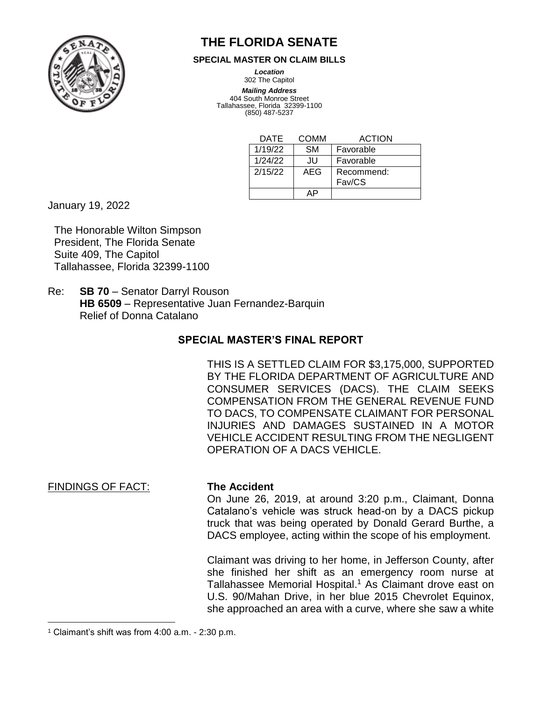

# **THE FLORIDA SENATE**

#### **SPECIAL MASTER ON CLAIM BILLS**

*Location* 302 The Capitol

*Mailing Address*

404 South Monroe Street Tallahassee, Florida 32399-1100 (850) 487-5237

| DATE    | COMM      | <b>ACTION</b>        |
|---------|-----------|----------------------|
| 1/19/22 | <b>SM</b> | Favorable            |
| 1/24/22 | JU        | Favorable            |
| 2/15/22 | AEG       | Recommend:<br>Fav/CS |
|         |           |                      |

January 19, 2022

The Honorable Wilton Simpson President, The Florida Senate Suite 409, The Capitol Tallahassee, Florida 32399-1100

Re: **SB 70** – Senator Darryl Rouson **HB 6509** – Representative Juan Fernandez-Barquin Relief of Donna Catalano

### **SPECIAL MASTER'S FINAL REPORT**

THIS IS A SETTLED CLAIM FOR \$3,175,000, SUPPORTED BY THE FLORIDA DEPARTMENT OF AGRICULTURE AND CONSUMER SERVICES (DACS). THE CLAIM SEEKS COMPENSATION FROM THE GENERAL REVENUE FUND TO DACS, TO COMPENSATE CLAIMANT FOR PERSONAL INJURIES AND DAMAGES SUSTAINED IN A MOTOR VEHICLE ACCIDENT RESULTING FROM THE NEGLIGENT OPERATION OF A DACS VEHICLE.

FINDINGS OF FACT: **The Accident**

 $\overline{a}$ 

On June 26, 2019, at around 3:20 p.m., Claimant, Donna Catalano's vehicle was struck head-on by a DACS pickup truck that was being operated by Donald Gerard Burthe, a DACS employee, acting within the scope of his employment.

Claimant was driving to her home, in Jefferson County, after she finished her shift as an emergency room nurse at Tallahassee Memorial Hospital. <sup>1</sup> As Claimant drove east on U.S. 90/Mahan Drive, in her blue 2015 Chevrolet Equinox, she approached an area with a curve, where she saw a white

<sup>1</sup> Claimant's shift was from 4:00 a.m. - 2:30 p.m.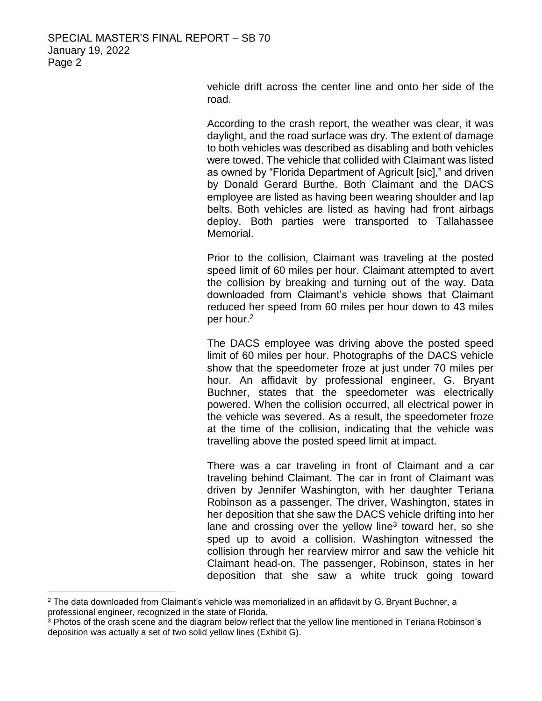vehicle drift across the center line and onto her side of the road.

According to the crash report, the weather was clear, it was daylight, and the road surface was dry. The extent of damage to both vehicles was described as disabling and both vehicles were towed. The vehicle that collided with Claimant was listed as owned by "Florida Department of Agricult [sic]," and driven by Donald Gerard Burthe. Both Claimant and the DACS employee are listed as having been wearing shoulder and lap belts. Both vehicles are listed as having had front airbags deploy. Both parties were transported to Tallahassee Memorial.

Prior to the collision, Claimant was traveling at the posted speed limit of 60 miles per hour. Claimant attempted to avert the collision by breaking and turning out of the way. Data downloaded from Claimant's vehicle shows that Claimant reduced her speed from 60 miles per hour down to 43 miles per hour.<sup>2</sup>

The DACS employee was driving above the posted speed limit of 60 miles per hour. Photographs of the DACS vehicle show that the speedometer froze at just under 70 miles per hour. An affidavit by professional engineer, G. Bryant Buchner, states that the speedometer was electrically powered. When the collision occurred, all electrical power in the vehicle was severed. As a result, the speedometer froze at the time of the collision, indicating that the vehicle was travelling above the posted speed limit at impact.

There was a car traveling in front of Claimant and a car traveling behind Claimant. The car in front of Claimant was driven by Jennifer Washington, with her daughter Teriana Robinson as a passenger. The driver, Washington, states in her deposition that she saw the DACS vehicle drifting into her lane and crossing over the yellow line<sup>3</sup> toward her, so she sped up to avoid a collision. Washington witnessed the collision through her rearview mirror and saw the vehicle hit Claimant head-on. The passenger, Robinson, states in her deposition that she saw a white truck going toward

<sup>2</sup> The data downloaded from Claimant's vehicle was memorialized in an affidavit by G. Bryant Buchner, a professional engineer, recognized in the state of Florida.

<sup>&</sup>lt;sup>3</sup> Photos of the crash scene and the diagram below reflect that the yellow line mentioned in Teriana Robinson's deposition was actually a set of two solid yellow lines (Exhibit G).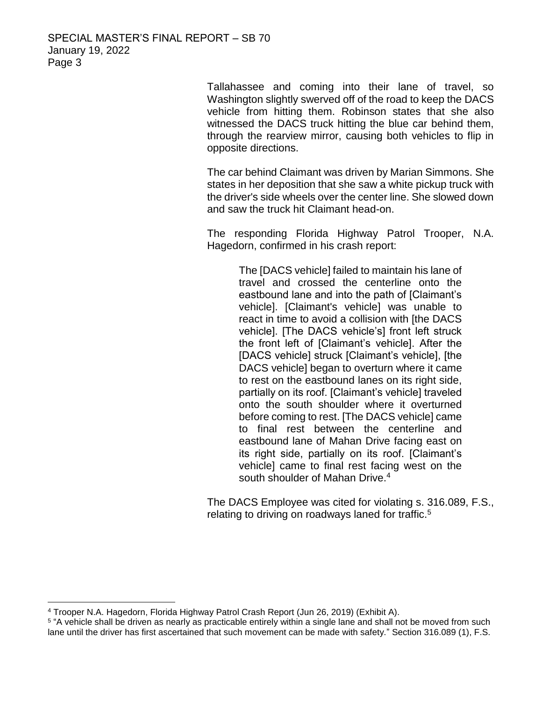> Tallahassee and coming into their lane of travel, so Washington slightly swerved off of the road to keep the DACS vehicle from hitting them. Robinson states that she also witnessed the DACS truck hitting the blue car behind them, through the rearview mirror, causing both vehicles to flip in opposite directions.

> The car behind Claimant was driven by Marian Simmons. She states in her deposition that she saw a white pickup truck with the driver's side wheels over the center line. She slowed down and saw the truck hit Claimant head-on.

> The responding Florida Highway Patrol Trooper, N.A. Hagedorn, confirmed in his crash report:

> > The [DACS vehicle] failed to maintain his lane of travel and crossed the centerline onto the eastbound lane and into the path of [Claimant's vehicle]. [Claimant's vehicle] was unable to react in time to avoid a collision with [the DACS vehicle]. [The DACS vehicle's] front left struck the front left of [Claimant's vehicle]. After the [DACS vehicle] struck [Claimant's vehicle], [the DACS vehicle] began to overturn where it came to rest on the eastbound lanes on its right side, partially on its roof. [Claimant's vehicle] traveled onto the south shoulder where it overturned before coming to rest. [The DACS vehicle] came to final rest between the centerline and eastbound lane of Mahan Drive facing east on its right side, partially on its roof. [Claimant's vehicle] came to final rest facing west on the south shoulder of Mahan Drive.<sup>4</sup>

The DACS Employee was cited for violating s. 316.089, F.S., relating to driving on roadways laned for traffic.<sup>5</sup>

 $\overline{a}$ <sup>4</sup> Trooper N.A. Hagedorn, Florida Highway Patrol Crash Report (Jun 26, 2019) (Exhibit A).

<sup>&</sup>lt;sup>5</sup> "A vehicle shall be driven as nearly as practicable entirely within a single lane and shall not be moved from such lane until the driver has first ascertained that such movement can be made with safety." Section 316.089 (1), F.S.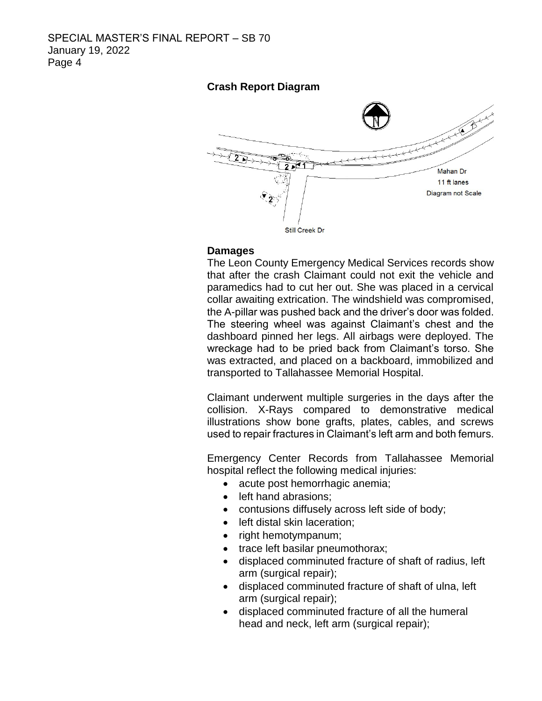#### **Crash Report Diagram**



#### **Damages**

The Leon County Emergency Medical Services records show that after the crash Claimant could not exit the vehicle and paramedics had to cut her out. She was placed in a cervical collar awaiting extrication. The windshield was compromised, the A-pillar was pushed back and the driver's door was folded. The steering wheel was against Claimant's chest and the dashboard pinned her legs. All airbags were deployed. The wreckage had to be pried back from Claimant's torso. She was extracted, and placed on a backboard, immobilized and transported to Tallahassee Memorial Hospital.

Claimant underwent multiple surgeries in the days after the collision. X-Rays compared to demonstrative medical illustrations show bone grafts, plates, cables, and screws used to repair fractures in Claimant's left arm and both femurs.

Emergency Center Records from Tallahassee Memorial hospital reflect the following medical injuries:

- acute post hemorrhagic anemia;
- left hand abrasions;
- contusions diffusely across left side of body;
- left distal skin laceration;
- right hemotympanum;
- trace left basilar pneumothorax;
- displaced comminuted fracture of shaft of radius, left arm (surgical repair);
- displaced comminuted fracture of shaft of ulna, left arm (surgical repair);
- displaced comminuted fracture of all the humeral head and neck, left arm (surgical repair);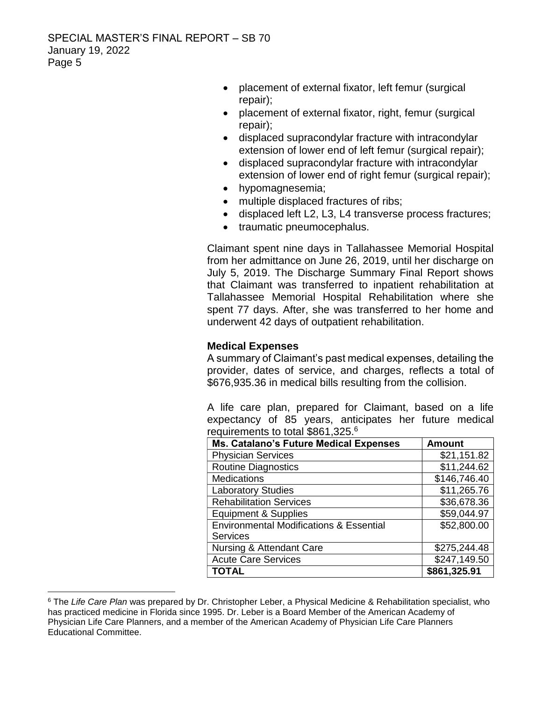- placement of external fixator, left femur (surgical repair);
- placement of external fixator, right, femur (surgical repair);
- displaced supracondylar fracture with intracondylar extension of lower end of left femur (surgical repair);
- displaced supracondylar fracture with intracondylar extension of lower end of right femur (surgical repair);
- hypomagnesemia;
- multiple displaced fractures of ribs;
- displaced left L2, L3, L4 transverse process fractures;
- traumatic pneumocephalus.

Claimant spent nine days in Tallahassee Memorial Hospital from her admittance on June 26, 2019, until her discharge on July 5, 2019. The Discharge Summary Final Report shows that Claimant was transferred to inpatient rehabilitation at Tallahassee Memorial Hospital Rehabilitation where she spent 77 days. After, she was transferred to her home and underwent 42 days of outpatient rehabilitation.

# **Medical Expenses**

A summary of Claimant's past medical expenses, detailing the provider, dates of service, and charges, reflects a total of \$676,935.36 in medical bills resulting from the collision.

A life care plan, prepared for Claimant, based on a life expectancy of 85 years, anticipates her future medical requirements to total  $$861,325.6$ 

| Ms. Catalano's Future Medical Expenses             | <b>Amount</b> |
|----------------------------------------------------|---------------|
| <b>Physician Services</b>                          | \$21,151.82   |
| <b>Routine Diagnostics</b>                         | \$11,244.62   |
| <b>Medications</b>                                 | \$146,746.40  |
| <b>Laboratory Studies</b>                          | \$11,265.76   |
| <b>Rehabilitation Services</b>                     | \$36,678.36   |
| <b>Equipment &amp; Supplies</b>                    | \$59,044.97   |
| <b>Environmental Modifications &amp; Essential</b> | \$52,800.00   |
| <b>Services</b>                                    |               |
| Nursing & Attendant Care                           | \$275,244.48  |
| <b>Acute Care Services</b>                         | \$247,149.50  |
| <b>TOTAL</b>                                       | \$861,325.91  |

 $\overline{a}$ <sup>6</sup> The *Life Care Plan* was prepared by Dr. Christopher Leber, a Physical Medicine & Rehabilitation specialist, who has practiced medicine in Florida since 1995. Dr. Leber is a Board Member of the American Academy of Physician Life Care Planners, and a member of the American Academy of Physician Life Care Planners Educational Committee.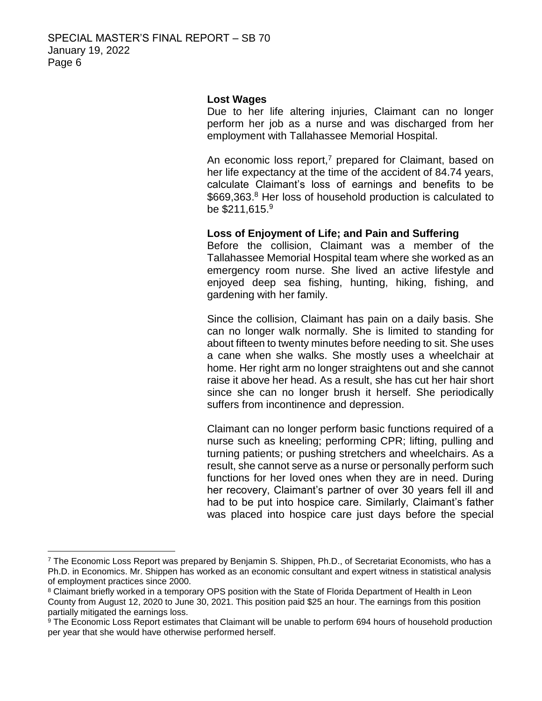$\overline{a}$ 

#### **Lost Wages**

Due to her life altering injuries, Claimant can no longer perform her job as a nurse and was discharged from her employment with Tallahassee Memorial Hospital.

An economic loss report,<sup>7</sup> prepared for Claimant, based on her life expectancy at the time of the accident of 84.74 years, calculate Claimant's loss of earnings and benefits to be \$669,363.<sup>8</sup> Her loss of household production is calculated to be \$211,615.<sup>9</sup>

#### **Loss of Enjoyment of Life; and Pain and Suffering**

Before the collision, Claimant was a member of the Tallahassee Memorial Hospital team where she worked as an emergency room nurse. She lived an active lifestyle and enjoyed deep sea fishing, hunting, hiking, fishing, and gardening with her family.

Since the collision, Claimant has pain on a daily basis. She can no longer walk normally. She is limited to standing for about fifteen to twenty minutes before needing to sit. She uses a cane when she walks. She mostly uses a wheelchair at home. Her right arm no longer straightens out and she cannot raise it above her head. As a result, she has cut her hair short since she can no longer brush it herself. She periodically suffers from incontinence and depression.

Claimant can no longer perform basic functions required of a nurse such as kneeling; performing CPR; lifting, pulling and turning patients; or pushing stretchers and wheelchairs. As a result, she cannot serve as a nurse or personally perform such functions for her loved ones when they are in need. During her recovery, Claimant's partner of over 30 years fell ill and had to be put into hospice care. Similarly, Claimant's father was placed into hospice care just days before the special

<sup>7</sup> The Economic Loss Report was prepared by Benjamin S. Shippen, Ph.D., of Secretariat Economists, who has a Ph.D. in Economics. Mr. Shippen has worked as an economic consultant and expert witness in statistical analysis of employment practices since 2000.

<sup>&</sup>lt;sup>8</sup> Claimant briefly worked in a temporary OPS position with the State of Florida Department of Health in Leon County from August 12, 2020 to June 30, 2021. This position paid \$25 an hour. The earnings from this position partially mitigated the earnings loss.

<sup>&</sup>lt;sup>9</sup> The Economic Loss Report estimates that Claimant will be unable to perform 694 hours of household production per year that she would have otherwise performed herself.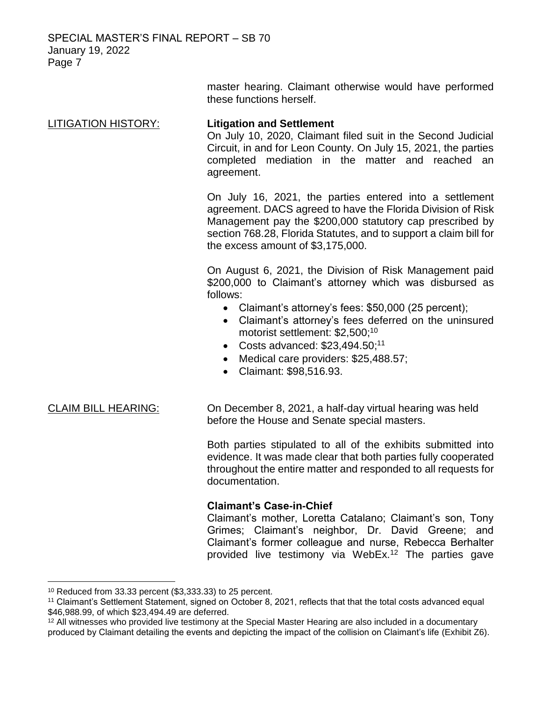master hearing. Claimant otherwise would have performed these functions herself.

#### LITIGATION HISTORY: **Litigation and Settlement**

On July 10, 2020, Claimant filed suit in the Second Judicial Circuit, in and for Leon County. On July 15, 2021, the parties completed mediation in the matter and reached an agreement.

On July 16, 2021, the parties entered into a settlement agreement. DACS agreed to have the Florida Division of Risk Management pay the \$200,000 statutory cap prescribed by section 768.28, Florida Statutes, and to support a claim bill for the excess amount of \$3,175,000.

On August 6, 2021, the Division of Risk Management paid \$200,000 to Claimant's attorney which was disbursed as follows:

- Claimant's attorney's fees: \$50,000 (25 percent);
- Claimant's attorney's fees deferred on the uninsured motorist settlement: \$2,500;<sup>10</sup>
- Costs advanced: \$23,494.50;<sup>11</sup>
- Medical care providers: \$25,488.57;
- Claimant: \$98,516.93.

CLAIM BILL HEARING: On December 8, 2021, a half-day virtual hearing was held

before the House and Senate special masters.

Both parties stipulated to all of the exhibits submitted into evidence. It was made clear that both parties fully cooperated throughout the entire matter and responded to all requests for documentation.

# **Claimant's Case-in-Chief**

Claimant's mother, Loretta Catalano; Claimant's son, Tony Grimes; Claimant's neighbor, Dr. David Greene; and Claimant's former colleague and nurse, Rebecca Berhalter provided live testimony via WebEx.<sup>12</sup> The parties gave

<sup>10</sup> Reduced from 33.33 percent (\$3,333.33) to 25 percent.

<sup>11</sup> Claimant's Settlement Statement, signed on October 8, 2021, reflects that that the total costs advanced equal \$46,988.99, of which \$23,494.49 are deferred.

<sup>&</sup>lt;sup>12</sup> All witnesses who provided live testimony at the Special Master Hearing are also included in a documentary produced by Claimant detailing the events and depicting the impact of the collision on Claimant's life (Exhibit Z6).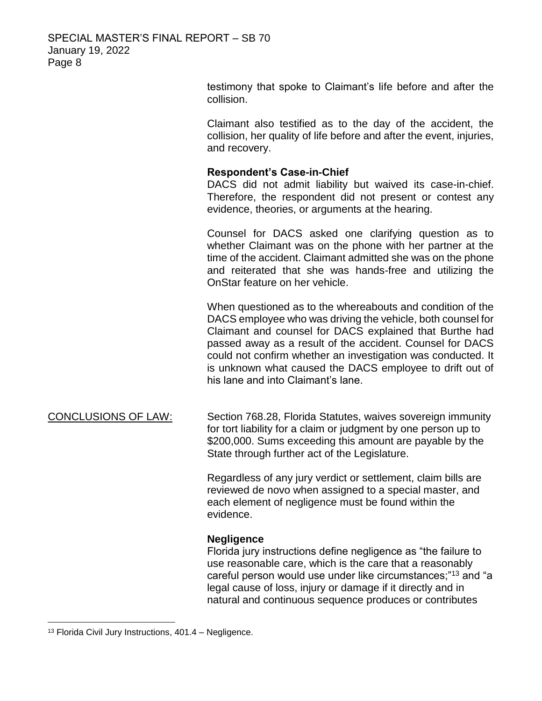> testimony that spoke to Claimant's life before and after the collision.

> Claimant also testified as to the day of the accident, the collision, her quality of life before and after the event, injuries, and recovery.

#### **Respondent's Case-in-Chief**

DACS did not admit liability but waived its case-in-chief. Therefore, the respondent did not present or contest any evidence, theories, or arguments at the hearing.

Counsel for DACS asked one clarifying question as to whether Claimant was on the phone with her partner at the time of the accident. Claimant admitted she was on the phone and reiterated that she was hands-free and utilizing the OnStar feature on her vehicle.

When questioned as to the whereabouts and condition of the DACS employee who was driving the vehicle, both counsel for Claimant and counsel for DACS explained that Burthe had passed away as a result of the accident. Counsel for DACS could not confirm whether an investigation was conducted. It is unknown what caused the DACS employee to drift out of his lane and into Claimant's lane.

CONCLUSIONS OF LAW: Section 768.28, Florida Statutes, waives sovereign immunity for tort liability for a claim or judgment by one person up to \$200,000. Sums exceeding this amount are payable by the State through further act of the Legislature.

> Regardless of any jury verdict or settlement, claim bills are reviewed de novo when assigned to a special master, and each element of negligence must be found within the evidence.

#### **Negligence**

Florida jury instructions define negligence as "the failure to use reasonable care, which is the care that a reasonably careful person would use under like circumstances;"<sup>13</sup> and "a legal cause of loss, injury or damage if it directly and in natural and continuous sequence produces or contributes

<sup>&</sup>lt;sup>13</sup> Florida Civil Jury Instructions, 401.4 - Negligence.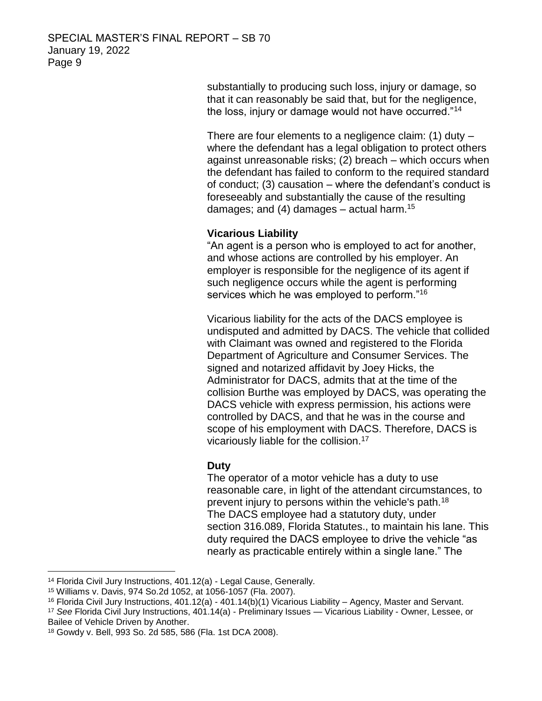substantially to producing such loss, injury or damage, so that it can reasonably be said that, but for the negligence, the loss, injury or damage would not have occurred."<sup>14</sup>

There are four elements to a negligence claim: (1) duty – where the defendant has a legal obligation to protect others against unreasonable risks; (2) breach – which occurs when the defendant has failed to conform to the required standard of conduct; (3) causation – where the defendant's conduct is foreseeably and substantially the cause of the resulting damages; and (4) damages  $-$  actual harm.<sup>15</sup>

# **Vicarious Liability**

"An agent is a person who is employed to act for another, and whose actions are controlled by his employer. An employer is responsible for the negligence of its agent if such negligence occurs while the agent is performing services which he was employed to perform."<sup>16</sup>

Vicarious liability for the acts of the DACS employee is undisputed and admitted by DACS. The vehicle that collided with Claimant was owned and registered to the Florida Department of Agriculture and Consumer Services. The signed and notarized affidavit by Joey Hicks, the Administrator for DACS, admits that at the time of the collision Burthe was employed by DACS, was operating the DACS vehicle with express permission, his actions were controlled by DACS, and that he was in the course and scope of his employment with DACS. Therefore, DACS is vicariously liable for the collision.<sup>17</sup>

# **Duty**

The operator of a motor vehicle has a duty to use reasonable care, in light of the attendant circumstances, to prevent injury to persons within the vehicle's path.<sup>18</sup> The DACS employee had a statutory duty, under section 316.089, Florida Statutes., to maintain his lane. This duty required the DACS employee to drive the vehicle "as nearly as practicable entirely within a single lane." The

<sup>14</sup> Florida Civil Jury Instructions, 401.12(a) - Legal Cause, Generally.

<sup>15</sup> Williams v. Davis, 974 So.2d 1052, at 1056-1057 (Fla. 2007).

<sup>16</sup> Florida Civil Jury Instructions, 401.12(a) - 401.14(b)(1) Vicarious Liability – Agency, Master and Servant.

<sup>17</sup> *See* Florida Civil Jury Instructions, 401.14(a) - Preliminary Issues — Vicarious Liability - Owner, Lessee, or Bailee of Vehicle Driven by Another.

<sup>18</sup> Gowdy v. Bell, 993 So. 2d 585, 586 (Fla. 1st DCA 2008).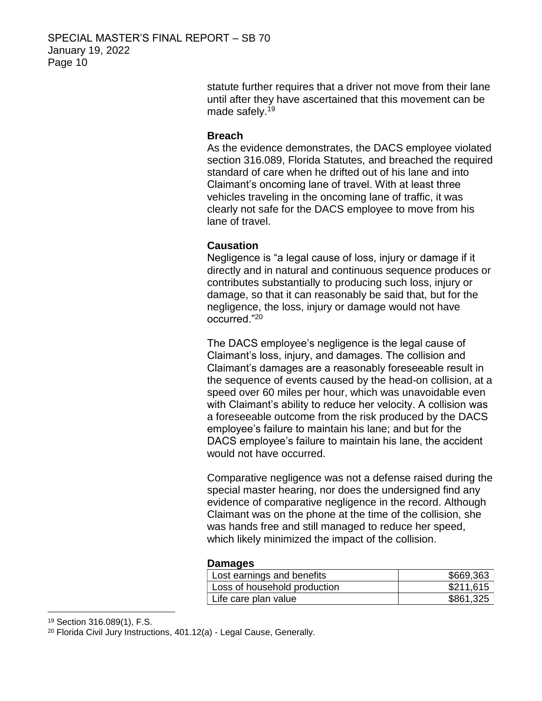statute further requires that a driver not move from their lane until after they have ascertained that this movement can be made safely.<sup>19</sup>

### **Breach**

As the evidence demonstrates, the DACS employee violated section 316.089, Florida Statutes, and breached the required standard of care when he drifted out of his lane and into Claimant's oncoming lane of travel. With at least three vehicles traveling in the oncoming lane of traffic, it was clearly not safe for the DACS employee to move from his lane of travel.

# **Causation**

Negligence is "a legal cause of loss, injury or damage if it directly and in natural and continuous sequence produces or contributes substantially to producing such loss, injury or damage, so that it can reasonably be said that, but for the negligence, the loss, injury or damage would not have occurred."<sup>20</sup>

The DACS employee's negligence is the legal cause of Claimant's loss, injury, and damages. The collision and Claimant's damages are a reasonably foreseeable result in the sequence of events caused by the head-on collision, at a speed over 60 miles per hour, which was unavoidable even with Claimant's ability to reduce her velocity. A collision was a foreseeable outcome from the risk produced by the DACS employee's failure to maintain his lane; and but for the DACS employee's failure to maintain his lane, the accident would not have occurred.

Comparative negligence was not a defense raised during the special master hearing, nor does the undersigned find any evidence of comparative negligence in the record. Although Claimant was on the phone at the time of the collision, she was hands free and still managed to reduce her speed, which likely minimized the impact of the collision.

#### **Damages**

| Lost earnings and benefits   | \$669,363 |  |
|------------------------------|-----------|--|
| Loss of household production | \$211,615 |  |
| Life care plan value         | \$861,325 |  |

<sup>19</sup> Section 316.089(1), F.S.

<sup>20</sup> Florida Civil Jury Instructions, 401.12(a) - Legal Cause, Generally.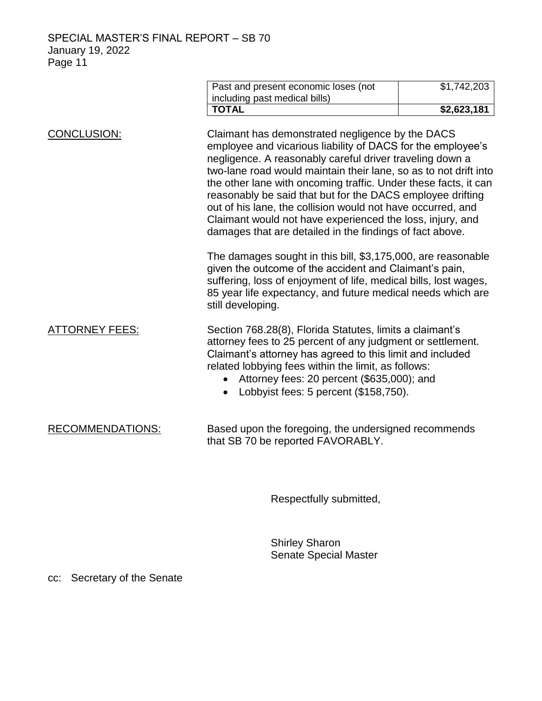|                         | including past medical bills)                                                                                                                                                                                                                                                                                                                                                                                                                                                                                                                                            |             |  |
|-------------------------|--------------------------------------------------------------------------------------------------------------------------------------------------------------------------------------------------------------------------------------------------------------------------------------------------------------------------------------------------------------------------------------------------------------------------------------------------------------------------------------------------------------------------------------------------------------------------|-------------|--|
|                         | <b>TOTAL</b>                                                                                                                                                                                                                                                                                                                                                                                                                                                                                                                                                             | \$2,623,181 |  |
| CONCLUSION:             | Claimant has demonstrated negligence by the DACS<br>employee and vicarious liability of DACS for the employee's<br>negligence. A reasonably careful driver traveling down a<br>two-lane road would maintain their lane, so as to not drift into<br>the other lane with oncoming traffic. Under these facts, it can<br>reasonably be said that but for the DACS employee drifting<br>out of his lane, the collision would not have occurred, and<br>Claimant would not have experienced the loss, injury, and<br>damages that are detailed in the findings of fact above. |             |  |
|                         | The damages sought in this bill, \$3,175,000, are reasonable<br>given the outcome of the accident and Claimant's pain,<br>suffering, loss of enjoyment of life, medical bills, lost wages,<br>85 year life expectancy, and future medical needs which are<br>still developing.                                                                                                                                                                                                                                                                                           |             |  |
| ATTORNEY FEES:          | Section 768.28(8), Florida Statutes, limits a claimant's<br>attorney fees to 25 percent of any judgment or settlement.<br>Claimant's attorney has agreed to this limit and included<br>related lobbying fees within the limit, as follows:<br>Attorney fees: 20 percent (\$635,000); and<br>Lobbyist fees: 5 percent (\$158,750).                                                                                                                                                                                                                                        |             |  |
| <b>RECOMMENDATIONS:</b> | Based upon the foregoing, the undersigned recommends<br>that SB 70 be reported FAVORABLY.                                                                                                                                                                                                                                                                                                                                                                                                                                                                                |             |  |
|                         | Respectfully submitted,                                                                                                                                                                                                                                                                                                                                                                                                                                                                                                                                                  |             |  |

Past and present economic loses (not

\$1,742,203

Shirley Sharon Senate Special Master

cc: Secretary of the Senate